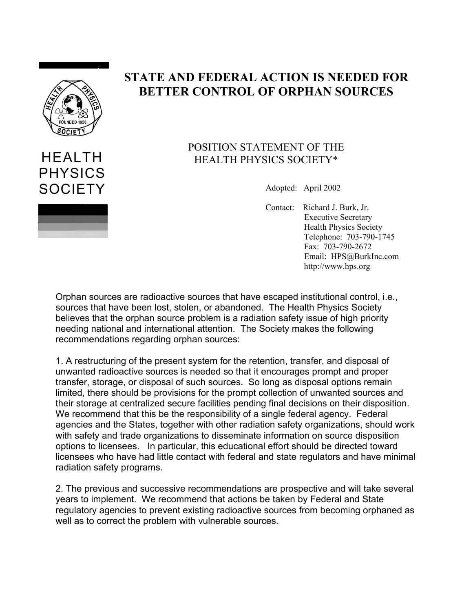

HEALTH

PHYSICS **SOCIETY** 

## **STATE AND FEDERAL ACTION IS NEEDED FOR BETTER CONTROL OF ORPHAN SOURCES**

## POSITION STATEMENT OF THE HEALTH PHYSICS SOCIETY\*

Adopted: April 2002

Contact: Richard J. Burk, Jr. Executive Secretary Health Physics Society Telephone: 703-790-1745 Fax: 703-790-2672 Email: HPS@BurkInc.com http://www.hps.org

Orphan sources are radioactive sources that have escaped institutional control, i.e., sources that have been lost, stolen, or abandoned. The Health Physics Society believes that the orphan source problem is a radiation safety issue of high priority needing national and international attention. The Society makes the following recommendations regarding orphan sources:

1. A restructuring of the present system for the retention, transfer, and disposal of unwanted radioactive sources is needed so that it encourages prompt and proper transfer, storage, or disposal of such sources. So long as disposal options remain limited, there should be provisions for the prompt collection of unwanted sources and their storage at centralized secure facilities pending final decisions on their disposition. We recommend that this be the responsibility of a single federal agency. Federal agencies and the States, together with other radiation safety organizations, should work with safety and trade organizations to disseminate information on source disposition options to licensees. In particular, this educational effort should be directed toward licensees who have had little contact with federal and state regulators and have minimal radiation safety programs.

2. The previous and successive recommendations are prospective and will take several years to implement. We recommend that actions be taken by Federal and State regulatory agencies to prevent existing radioactive sources from becoming orphaned as well as to correct the problem with vulnerable sources.